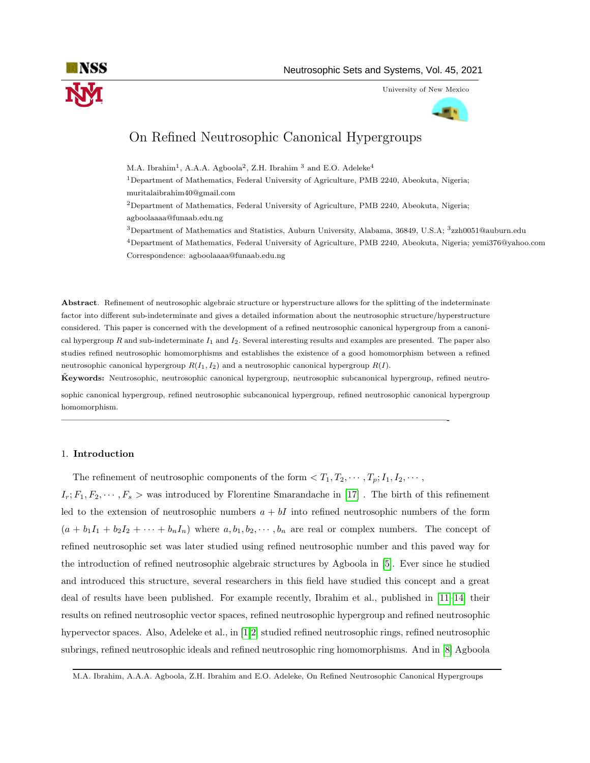

University of New Mexico

# On Refined Neutrosophic Canonical Hypergroups

M.A. Ibrahim<sup>1</sup>, A.A.A. Agboola<sup>2</sup>, Z.H. Ibrahim<sup>3</sup> and E.O. Adeleke<sup>4</sup>

<sup>1</sup>Department of Mathematics, Federal University of Agriculture, PMB 2240, Abeokuta, Nigeria; muritalaibrahim40@gmail.com

<sup>2</sup>Department of Mathematics, Federal University of Agriculture, PMB 2240, Abeokuta, Nigeria; agboolaaaa@funaab.edu.ng

<sup>3</sup>Department of Mathematics and Statistics, Auburn University, Alabama, 36849, U.S.A; <sup>3</sup>zzh0051@auburn.edu <sup>4</sup>Department of Mathematics, Federal University of Agriculture, PMB 2240, Abeokuta, Nigeria; yemi376@yahoo.com Correspondence: agboolaaaa@funaab.edu.ng

Abstract. Refinement of neutrosophic algebraic structure or hyperstructure allows for the splitting of the indeterminate factor into different sub-indeterminate and gives a detailed information about the neutrosophic structure/hyperstructure considered. This paper is concerned with the development of a refined neutrosophic canonical hypergroup from a canonical hypergroup R and sub-indeterminate  $I_1$  and  $I_2$ . Several interesting results and examples are presented. The paper also studies refined neutrosophic homomorphisms and establishes the existence of a good homomorphism between a refined neutrosophic canonical hypergroup  $R(I_1, I_2)$  and a neutrosophic canonical hypergroup  $R(I)$ .

Keywords: Neutrosophic, neutrosophic canonical hypergroup, neutrosophic subcanonical hypergroup, refined neutrosophic canonical hypergroup, refined neutrosophic subcanonical hypergroup, refined neutrosophic canonical hypergroup homomorphism.

## 1. Introduction

The refinement of neutrosophic components of the form  $\langle T_1, T_2, \cdots, T_p; I_1, I_2, \cdots, I_p \rangle$ 

—————————————————————————————————————————-

 $I_r; F_1, F_2, \dots, F_s$  was introduced by Florentine Smarandache in [\[17\]](#page-13-0). The birth of this refinement led to the extension of neutrosophic numbers  $a + bI$  into refined neutrosophic numbers of the form  $(a + b_1I_1 + b_2I_2 + \cdots + b_nI_n)$  where  $a, b_1, b_2, \cdots, b_n$  are real or complex numbers. The concept of refined neutrosophic set was later studied using refined neutrosophic number and this paved way for the introduction of refined neutrosophic algebraic structures by Agboola in [\[5\]](#page-13-1). Ever since he studied and introduced this structure, several researchers in this field have studied this concept and a great deal of results have been published. For example recently, Ibrahim et al., published in [\[11–](#page-13-2)[14\]](#page-13-3) their results on refined neutrosophic vector spaces, refined neutrosophic hypergroup and refined neutrosophic hypervector spaces. Also, Adeleke et al., in [\[1,](#page-13-4)[2\]](#page-13-5) studied refined neutrosophic rings, refined neutrosophic subrings, refined neutrosophic ideals and refined neutrosophic ring homomorphisms. And in [\[8\]](#page-13-6) Agboola

M.A. Ibrahim, A.A.A. Agboola, Z.H. Ibrahim and E.O. Adeleke, On Refined Neutrosophic Canonical Hypergroups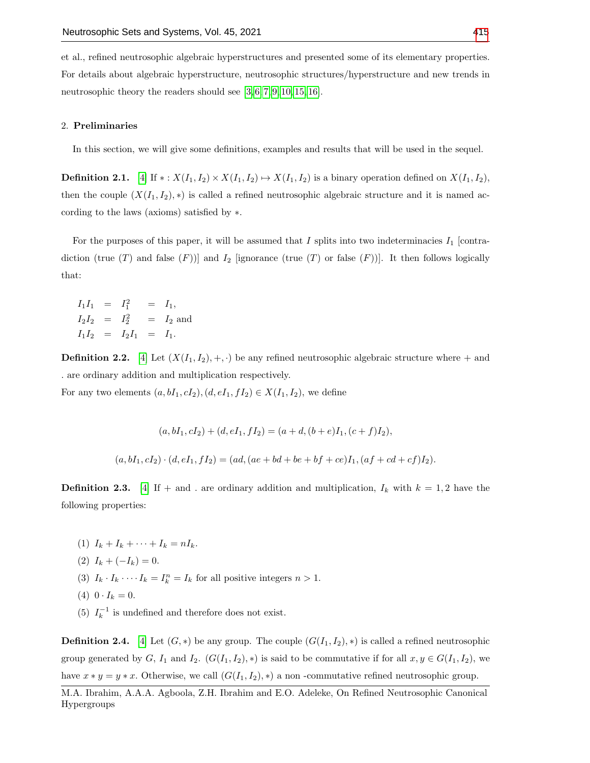et al., refined neutrosophic algebraic hyperstructures and presented some of its elementary properties. For details about algebraic hyperstructure, neutrosophic structures/hyperstructure and new trends in neutrosophic theory the readers should see [\[3,](#page-13-8) [6,](#page-13-9) [7,](#page-13-10) [9,](#page-13-11) [10,](#page-13-12) [15,](#page-13-13) [16\]](#page-13-14).

### 2. Preliminaries

In this section, we will give some definitions, examples and results that will be used in the sequel.

**Definition 2.1.** [\[4\]](#page-13-15) If  $*: X(I_1, I_2) \times X(I_1, I_2) \mapsto X(I_1, I_2)$  is a binary operation defined on  $X(I_1, I_2)$ , then the couple  $(X(I_1, I_2), *)$  is called a refined neutrosophic algebraic structure and it is named according to the laws (axioms) satisfied by ∗.

For the purposes of this paper, it will be assumed that I splits into two indeterminacies  $I_1$  [contradiction (true  $(T)$  and false  $(F)$ ) and  $I_2$  [ignorance (true  $(T)$  or false  $(F)$ )]. It then follows logically that:

 $I_1I_1 = I_1^2 = I_1,$  $I_2I_2 = I_2^2 = I_2$  and  $I_1I_2 \ \ = \ \ I_2I_1 \ \ = \ \ I_1.$ 

**Definition 2.2.** [\[4\]](#page-13-15) Let  $(X(I_1, I_2), +, \cdot)$  be any refined neutrosophic algebraic structure where  $+$  and . are ordinary addition and multiplication respectively.

For any two elements  $(a, bI_1, cI_2), (d, eI_1, fI_2) \in X(I_1, I_2)$ , we define

$$
(a, bI_1, cI_2) + (d, eI_1, fI_2) = (a + d, (b + e)I_1, (c + f)I_2),
$$
  

$$
(a, bI_1, cI_2) \cdot (d, eI_1, fI_2) = (ad, (ae + bd + be + bf + ce)I_1, (af + cd + cf)I_2).
$$

**Definition 2.3.** [\[4\]](#page-13-15) If + and . are ordinary addition and multiplication,  $I_k$  with  $k = 1, 2$  have the following properties:

- (1)  $I_k + I_k + \cdots + I_k = nI_k$ .
- (2)  $I_k + (-I_k) = 0.$
- (3)  $I_k \tcdot I_k \cdots I_k = I_k^n = I_k$  for all positive integers  $n > 1$ .
- (4)  $0 \cdot I_k = 0$ .
- (5)  $I_k^{-1}$  is undefined and therefore does not exist.

**Definition 2.4.** [\[4\]](#page-13-15) Let  $(G, *)$  be any group. The couple  $(G(I_1, I_2), *)$  is called a refined neutrosophic group generated by G,  $I_1$  and  $I_2$ .  $(G(I_1, I_2), *)$  is said to be commutative if for all  $x, y \in G(I_1, I_2)$ , we have  $x * y = y * x$ . Otherwise, we call  $(G(I_1, I_2), *)$  a non-commutative refined neutrosophic group.

M.A. Ibrahim, A.A.A. Agboola, Z.H. Ibrahim and E.O. Adeleke, On Refined Neutrosophic Canonical Hypergroups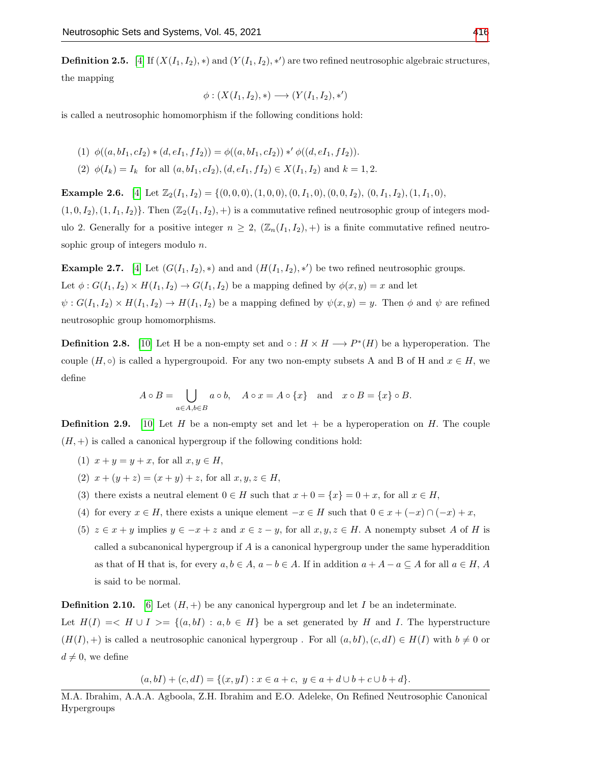**Definition 2.5.** [\[4\]](#page-13-15) If  $(X(I_1, I_2), *)$  and  $(Y(I_1, I_2), *)$  are two refined neutrosophic algebraic structures, the mapping

$$
\phi: (X(I_1, I_2), *) \longrightarrow (Y(I_1, I_2), *)
$$

is called a neutrosophic homomorphism if the following conditions hold:

- (1)  $\phi((a, bI_1, cI_2) * (d, eI_1, fI_2)) = \phi((a, bI_1, cI_2)) *' \phi((d, eI_1, fI_2)).$
- (2)  $\phi(I_k) = I_k$  for all  $(a, bI_1, cI_2), (d, eI_1, fI_2) \in X(I_1, I_2)$  and  $k = 1, 2$ .

**Example 2.6.** [\[4\]](#page-13-15) Let  $\mathbb{Z}_2(I_1, I_2) = \{(0, 0, 0), (1, 0, 0), (0, I_1, 0), (0, 0, I_2), (0, I_1, I_2), (1, I_1, 0),\}$ 

 $(1, 0, I_2), (1, I_1, I_2)$ . Then  $(\mathbb{Z}_2(I_1, I_2), +)$  is a commutative refined neutrosophic group of integers modulo 2. Generally for a positive integer  $n \geq 2$ ,  $(\mathbb{Z}_n(I_1, I_2), +)$  is a finite commutative refined neutrosophic group of integers modulo *n*.

**Example 2.7.** [\[4\]](#page-13-15) Let  $(G(I_1, I_2), *)$  and and  $(H(I_1, I_2), *)$  be two refined neutrosophic groups. Let  $\phi$ :  $G(I_1, I_2) \times H(I_1, I_2) \to G(I_1, I_2)$  be a mapping defined by  $\phi(x, y) = x$  and let  $\psi: G(I_1, I_2) \times H(I_1, I_2) \to H(I_1, I_2)$  be a mapping defined by  $\psi(x, y) = y$ . Then  $\phi$  and  $\psi$  are refined neutrosophic group homomorphisms.

**Definition 2.8.** [\[10\]](#page-13-12) Let H be a non-empty set and  $\circ: H \times H \longrightarrow P^*(H)$  be a hyperoperation. The couple  $(H, \circ)$  is called a hypergroupoid. For any two non-empty subsets A and B of H and  $x \in H$ , we define

$$
A \circ B = \bigcup_{a \in A, b \in B} a \circ b, \quad A \circ x = A \circ \{x\} \quad \text{and} \quad x \circ B = \{x\} \circ B.
$$

**Definition 2.9.** [\[10\]](#page-13-12) Let H be a non-empty set and let  $+$  be a hyperoperation on H. The couple  $(H, +)$  is called a canonical hypergroup if the following conditions hold:

- (1)  $x + y = y + x$ , for all  $x, y \in H$ ,
- (2)  $x + (y + z) = (x + y) + z$ , for all  $x, y, z \in H$ ,
- (3) there exists a neutral element  $0 \in H$  such that  $x + 0 = \{x\} = 0 + x$ , for all  $x \in H$ ,
- (4) for every  $x \in H$ , there exists a unique element  $-x \in H$  such that  $0 \in x + (-x) \cap (-x) + x$ ,
- (5)  $z \in x + y$  implies  $y \in -x + z$  and  $x \in z y$ , for all  $x, y, z \in H$ . A nonempty subset A of H is called a subcanonical hypergroup if  $A$  is a canonical hypergroup under the same hyperaddition as that of H that is, for every  $a, b \in A$ ,  $a - b \in A$ . If in addition  $a + A - a \subseteq A$  for all  $a \in H$ , A is said to be normal.

**Definition 2.10.** [\[6\]](#page-13-9) Let  $(H, +)$  be any canonical hypergroup and let I be an indeterminate. Let  $H(I) = \langle H \cup I \rangle = \{ (a, bI) : a, b \in H \}$  be a set generated by H and I. The hyperstructure  $(H(I), +)$  is called a neutrosophic canonical hypergroup. For all  $(a, bI), (c, dI) \in H(I)$  with  $b \neq 0$  or  $d \neq 0$ , we define

$$
(a, bI) + (c, dI) = \{(x, yI) : x \in a + c, y \in a + d \cup b + c \cup b + d\}.
$$

M.A. Ibrahim, A.A.A. Agboola, Z.H. Ibrahim and E.O. Adeleke, On Refined Neutrosophic Canonical Hypergroups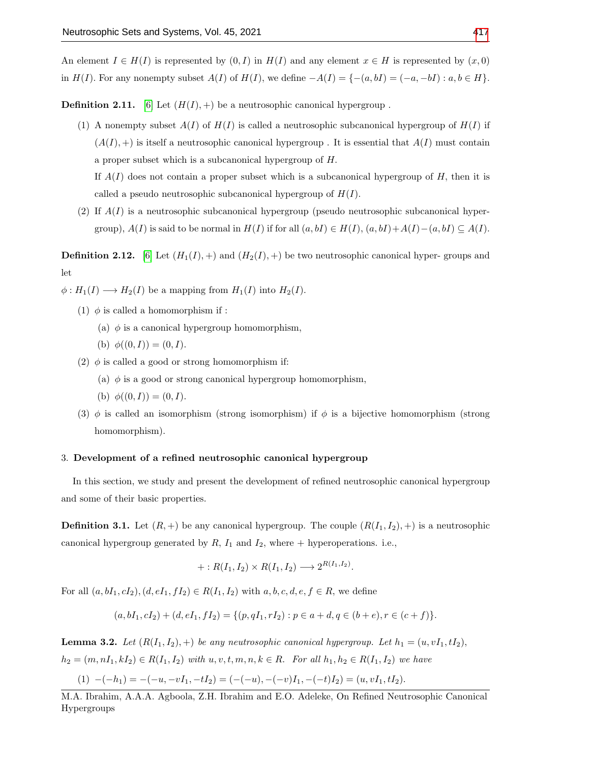An element  $I \in H(I)$  is represented by  $(0, I)$  in  $H(I)$  and any element  $x \in H$  is represented by  $(x, 0)$ in  $H(I)$ . For any nonempty subset  $A(I)$  of  $H(I)$ , we define  $-A(I) = \{- (a, bI) = (-a, -bI) : a, b \in H\}$ .

**Definition 2.11.** [\[6\]](#page-13-9) Let  $(H(I), +)$  be a neutrosophic canonical hypergroup.

called a pseudo neutrosophic subcanonical hypergroup of  $H(I)$ .

- (1) A nonempty subset  $A(I)$  of  $H(I)$  is called a neutrosophic subcanonical hypergroup of  $H(I)$  if  $(A(I), +)$  is itself a neutrosophic canonical hypergroup. It is essential that  $A(I)$  must contain a proper subset which is a subcanonical hypergroup of H. If  $A(I)$  does not contain a proper subset which is a subcanonical hypergroup of H, then it is
- (2) If  $A(I)$  is a neutrosophic subcanonical hypergroup (pseudo neutrosophic subcanonical hypergroup),  $A(I)$  is said to be normal in  $H(I)$  if for all  $(a, bI) \in H(I), (a, bI) + A(I) - (a, bI) \subseteq A(I).$

**Definition 2.12.** [\[6\]](#page-13-9) Let  $(H_1(I), +)$  and  $(H_2(I), +)$  be two neutrosophic canonical hyper-groups and let

 $\phi: H_1(I) \longrightarrow H_2(I)$  be a mapping from  $H_1(I)$  into  $H_2(I)$ .

- (1)  $\phi$  is called a homomorphism if :
	- (a)  $\phi$  is a canonical hypergroup homomorphism,
	- (b)  $\phi((0, I)) = (0, I).$
- (2)  $\phi$  is called a good or strong homomorphism if:
	- (a)  $\phi$  is a good or strong canonical hypergroup homomorphism,
	- (b)  $\phi((0, I)) = (0, I).$
- (3)  $\phi$  is called an isomorphism (strong isomorphism) if  $\phi$  is a bijective homomorphism (strong homomorphism).

### 3. Development of a refined neutrosophic canonical hypergroup

In this section, we study and present the development of refined neutrosophic canonical hypergroup and some of their basic properties.

**Definition 3.1.** Let  $(R, +)$  be any canonical hypergroup. The couple  $(R(I_1, I_2), +)$  is a neutrosophic canonical hypergroup generated by  $R$ ,  $I_1$  and  $I_2$ , where + hyperoperations. i.e.,

$$
+: R(I_1, I_2) \times R(I_1, I_2) \longrightarrow 2^{R(I_1, I_2)}.
$$

For all  $(a, bI_1, cI_2), (d, eI_1, fI_2) \in R(I_1, I_2)$  with  $a, b, c, d, e, f \in R$ , we define

$$
(a, bI_1, cI_2) + (d, eI_1, fI_2) = \{(p, qI_1, rI_2) : p \in a + d, q \in (b + e), r \in (c + f)\}.
$$

**Lemma 3.2.** Let  $(R(I_1, I_2), +)$  be any neutrosophic canonical hypergroup. Let  $h_1 = (u, vI_1, tI_2)$ ,  $h_2 = (m, nI_1, kI_2) \in R(I_1, I_2)$  with  $u, v, t, m, n, k \in R$ . For all  $h_1, h_2 \in R(I_1, I_2)$  we have

 $(1)$   $-(-h_1) = -(-u, -vI_1, -tI_2) = (-(-u), -(-v)I_1, -(-t)I_2) = (u, vI_1, tI_2).$ 

M.A. Ibrahim, A.A.A. Agboola, Z.H. Ibrahim and E.O. Adeleke, On Refined Neutrosophic Canonical Hypergroups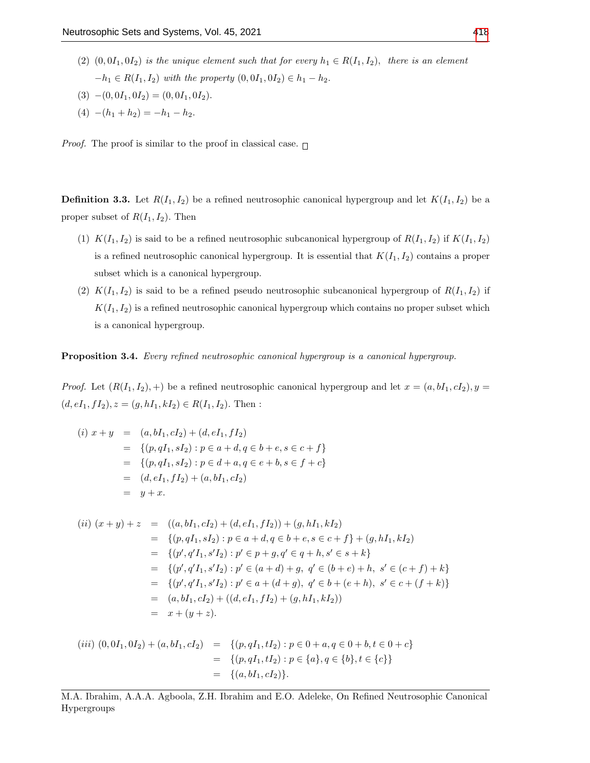(2)  $(0, 0I_1, 0I_2)$  is the unique element such that for every  $h_1 \in R(I_1, I_2)$ , there is an element  $-h_1 \in R(I_1, I_2)$  with the property  $(0, 0I_1, 0I_2) \in h_1 - h_2$ . (3)  $-(0, 0I_1, 0I_2) = (0, 0I_1, 0I_2).$ (4)  $-(h_1 + h_2) = -h_1 - h_2$ .

*Proof.* The proof is similar to the proof in classical case.  $\Box$ 

**Definition 3.3.** Let  $R(I_1, I_2)$  be a refined neutrosophic canonical hypergroup and let  $K(I_1, I_2)$  be a proper subset of  $R(I_1, I_2)$ . Then

- (1)  $K(I_1, I_2)$  is said to be a refined neutrosophic subcanonical hypergroup of  $R(I_1, I_2)$  if  $K(I_1, I_2)$ is a refined neutrosophic canonical hypergroup. It is essential that  $K(I_1, I_2)$  contains a proper subset which is a canonical hypergroup.
- (2)  $K(I_1, I_2)$  is said to be a refined pseudo neutrosophic subcanonical hypergroup of  $R(I_1, I_2)$  if  $K(I_1, I_2)$  is a refined neutrosophic canonical hypergroup which contains no proper subset which is a canonical hypergroup.

Proposition 3.4. Every refined neutrosophic canonical hypergroup is a canonical hypergroup.

*Proof.* Let  $(R(I_1, I_2), +)$  be a refined neutrosophic canonical hypergroup and let  $x = (a, bI_1, cI_2), y =$  $(d, eI_1, fI_2), z = (g, hI_1, kI_2) \in R(I_1, I_2)$ . Then :

$$
(i) \; x + y = (a, bI_1, cI_2) + (d, eI_1, fI_2)
$$
  
= { $(p, qI_1, sI_2) : p \in a + d, q \in b + e, s \in c + f$ }  
= { $(p, qI_1, sI_2) : p \in d + a, q \in e + b, s \in f + c$ }  
=  $(d, eI_1, fI_2) + (a, bI_1, cI_2)$   
=  $y + x$ .

$$
(ii) (x + y) + z = ((a, bI_1, cI_2) + (d, eI_1, fI_2)) + (g, hI_1, kI_2)
$$
  
\n
$$
= \{(p, qI_1, sI_2) : p \in a + d, q \in b + e, s \in c + f\} + (g, hI_1, kI_2)
$$
  
\n
$$
= \{(p', q'I_1, s'I_2) : p' \in p + g, q' \in q + h, s' \in s + k\}
$$
  
\n
$$
= \{(p', q'I_1, s'I_2) : p' \in (a + d) + g, q' \in (b + e) + h, s' \in (c + f) + k\}
$$
  
\n
$$
= \{(p', q'I_1, s'I_2) : p' \in a + (d + g), q' \in b + (e + h), s' \in c + (f + k)\}
$$
  
\n
$$
= (a, bI_1, cI_2) + ((d, eI_1, fI_2) + (g, hI_1, kI_2))
$$
  
\n
$$
= x + (y + z).
$$

$$
(iii) (0,0I_1,0I_2) + (a, bI_1, cI_2) = \{(p,qI_1, tI_2) : p \in 0 + a, q \in 0 + b, t \in 0 + c\}
$$
  

$$
= \{(p,qI_1, tI_2) : p \in \{a\}, q \in \{b\}, t \in \{c\}\}
$$
  

$$
= \{(a,bI_1, cI_2)\}.
$$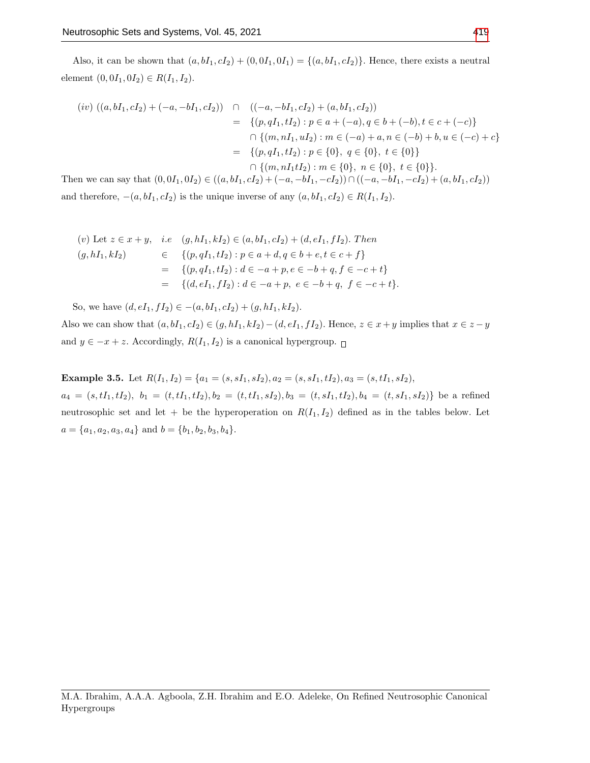Also, it can be shown that  $(a, bI_1, cI_2) + (0, 0I_1, 0I_1) = \{(a, bI_1, cI_2)\}\.$  Hence, there exists a neutral element  $(0, 0I_1, 0I_2) \in R(I_1, I_2)$ .

$$
(iv) ((a, bI_1, cI_2) + (-a, -bI_1, cI_2)) \cap ((-a, -bI_1, cI_2) + (a, bI_1, cI_2))
$$
  
\n
$$
= \{ (p, qI_1, tI_2) : p \in a + (-a), q \in b + (-b), t \in c + (-c) \}
$$
  
\n
$$
\cap \{ (m, nI_1, uI_2) : m \in (-a) + a, n \in (-b) + b, u \in (-c) + c \}
$$
  
\n
$$
= \{ (p, qI_1, tI_2) : p \in \{0\}, q \in \{0\}, t \in \{0\} \}
$$
  
\n
$$
\cap \{ (m, nI_1tI_2) : m \in \{0\}, n \in \{0\}, t \in \{0\} \}.
$$

Then we can say that  $(0, 0I_1, 0I_2) \in ((a, bI_1, cI_2) + (-a, -bI_1, -cI_2)) \cap ((-a, -bI_1, -cI_2) + (a, bI_1, cI_2))$ and therefore,  $-(a, bI_1, cI_2)$  is the unique inverse of any  $(a, bI_1, cI_2) \in R(I_1, I_2)$ .

$$
(v) \text{ Let } z \in x + y, \quad i.e \quad (g, hI_1, kI_2) \in (a, bI_1, cI_2) + (d, eI_1, fI_2). \text{ Then}
$$
\n
$$
(g, hI_1, kI_2) \in \{ (p, qI_1, tI_2) : p \in a + d, q \in b + e, t \in c + f \}
$$
\n
$$
= \{ (p, qI_1, tI_2) : d \in -a + p, e \in -b + q, f \in -c + t \}
$$
\n
$$
= \{ (d, eI_1, fI_2) : d \in -a + p, e \in -b + q, f \in -c + t \}.
$$

So, we have  $(d, eI_1, fI_2) \in -(a, bI_1, cI_2) + (g, hI_1, kI_2)$ . Also we can show that  $(a, bI_1, cI_2) \in (g, hI_1, kI_2) - (d, eI_1, fI_2)$ . Hence,  $z \in x + y$  implies that  $x \in z - y$ and  $y \in -x + z$ . Accordingly,  $R(I_1, I_2)$  is a canonical hypergroup.  $\Box$ 

Example 3.5. Let  $R(I_1, I_2) = \{a_1 = (s, sI_1, sI_2), a_2 = (s, sI_1, tI_2), a_3 = (s, tI_1, sI_2),$  $a_4 = (s, tI_1, tI_2), b_1 = (t, tI_1, tI_2), b_2 = (t, tI_1, sI_2), b_3 = (t, sI_1, tI_2), b_4 = (t, sI_1, sI_2)$  be a refined neutrosophic set and let + be the hyperoperation on  $R(I_1, I_2)$  defined as in the tables below. Let  $a = \{a_1, a_2, a_3, a_4\}$  and  $b = \{b_1, b_2, b_3, b_4\}.$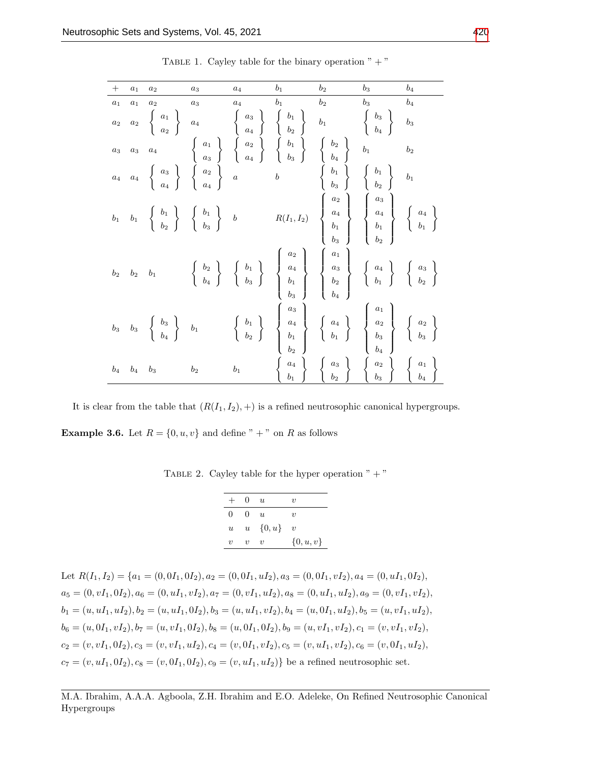| $^{+}$           | $a_1$            | $a_2$                                                                                                                                                         | $a_3$ | $a_4$          | $b_1$          | $b_2$                                                                                                                                                                                                                                                                                                                                                                                                                                                                   | $b_3$ | $b_4$ |
|------------------|------------------|---------------------------------------------------------------------------------------------------------------------------------------------------------------|-------|----------------|----------------|-------------------------------------------------------------------------------------------------------------------------------------------------------------------------------------------------------------------------------------------------------------------------------------------------------------------------------------------------------------------------------------------------------------------------------------------------------------------------|-------|-------|
| a <sub>1</sub>   | a <sub>1</sub>   | $a_2$                                                                                                                                                         | $a_3$ | a <sub>4</sub> | b <sub>1</sub> | b <sub>2</sub>                                                                                                                                                                                                                                                                                                                                                                                                                                                          | $b_3$ | $b_4$ |
| $a_2$            |                  |                                                                                                                                                               |       |                |                | $\begin{array}{cccccc} a_2 & \left\{ \begin{array}{c} a_1 \\ a_2 \end{array} \right\} & a_4 & \left\{ \begin{array}{c} a_3 \\ a_4 \end{array} \right\} & \left\{ \begin{array}{c} b_1 \\ b_2 \end{array} \right\} & b_1 & \left\{ \begin{array}{c} b_3 \\ b_4 \end{array} \right\} & b_3 \\ \\ a_3 & a_4 & \left\{ \begin{array}{c} a_1 \\ a_3 \end{array} \right\} & \left\{ \begin{array}{c} a_1 \\ a_3 \end{array} \right\} & \left\{ \begin{array}{c} a_2 \\ a_4 \$ |       |       |
| $a_3$            |                  |                                                                                                                                                               |       |                |                |                                                                                                                                                                                                                                                                                                                                                                                                                                                                         |       |       |
|                  |                  | $a_4 \quad a_4 \quad \left\{ \begin{array}{c} a_3 \\ a_4 \end{array} \right\} \quad \left\{ \begin{array}{c} a_2 \\ a_4 \end{array} \right\} \quad a \quad b$ |       |                |                |                                                                                                                                                                                                                                                                                                                                                                                                                                                                         |       |       |
|                  |                  |                                                                                                                                                               |       |                |                | $b_1 \quad b_1 \quad \left\{ \begin{array}{c} b_1 \\ b_2 \end{array} \right\} \quad \left\{ \begin{array}{c} b_1 \\ b_3 \end{array} \right\} \quad b \qquad \qquad R(I_1,I_2) \quad \left\{ \begin{array}{c} a_2 \\ a_4 \\ b_1 \end{array} \right\} \quad \left\{ \begin{array}{c} a_3 \\ a_4 \\ b_1 \end{array} \right\} \quad \left\{ \begin{array}{c} a_4 \\ a_4 \\ b_1 \end{array} \right\}$                                                                        |       |       |
| $\mathfrak{b}_2$ |                  | $b_2$ $b_1$                                                                                                                                                   |       |                |                | $\left\{ \begin{array}{c} b_2 \ b_4 \end{array} \right\} \quad \left\{ \begin{array}{c} b_1 \ b_3 \end{array} \right\} \quad \left\{ \begin{array}{c} a_2 \ a_4 \ b_1 \end{array} \right\} \quad \left\{ \begin{array}{c} a_1 \ a_3 \ b_2 \end{array} \right\} \quad \left\{ \begin{array}{c} a_4 \ a_4 \ b_1 \end{array} \right\} \quad \left\{ \begin{array}{c} a_3 \ b_2 \end{array} \right\}$                                                                       |       |       |
|                  |                  |                                                                                                                                                               |       |                |                | $b_3 \quad b_3 \quad \left\{ \begin{array}{c} b_3 \\ b_4 \end{array} \right\} \quad b_1 \qquad \quad \left\{ \begin{array}{c} b_1 \\ b_2 \end{array} \right\} \quad \left\{ \begin{array}{c} a_3 \\ a_4 \\ b_1 \\ b_2 \end{array} \right\} \quad \left\{ \begin{array}{c} a_4 \\ a_1 \\ b_1 \end{array} \right\} \quad \left\{ \begin{array}{c} a_1 \\ a_2 \\ b_3 \\ b_4 \end{array} \right\} \quad \left\{ \begin{array}{c} a_2 \\ a_2 \\ b_3 \end{array} \right\}$    |       |       |
| $b_4$            | $\mathfrak{b}_4$ | $b_3$                                                                                                                                                         | $b_2$ | $b_1$          |                | $\begin{array}{c} a_4 \\ b_1 \end{array} \begin{array}{c} \left\{ \begin{array}{c} a_3 \\ b_2 \end{array} \right\} \begin{array}{c} \left\{ \begin{array}{c} a_2 \\ b_3 \end{array} \right\} \begin{array}{c} \left\{ \begin{array}{c} a_1 \\ b_4 \end{array} \right\} \end{array}$                                                                                                                                                                                     |       |       |

TABLE 1. Cayley table for the binary operation  $" + "$ 

It is clear from the table that  $(R(I_1, I_2), +)$  is a refined neutrosophic canonical hypergroups.

**Example 3.6.** Let  $R = \{0, u, v\}$  and define " + " on R as follows

TABLE 2. Cayley table for the hyper operation  $" +"$ 

| $^{+}$                    | $\mathbf{0}$ | $\mathcal{U}$             | $\boldsymbol{\eta}$ |
|---------------------------|--------------|---------------------------|---------------------|
| 0                         | $^{(1)}$     | $\mathcal{U}$             | $\boldsymbol{\eta}$ |
| $\boldsymbol{\mathit{u}}$ |              | $u \quad \{0,u\} \quad v$ |                     |
| $\boldsymbol{\eta}$       | $\eta$       | $\eta$                    | $\{0, u, v\}$       |

Let  $R(I_1, I_2) = \{a_1 = (0, 0I_1, 0I_2), a_2 = (0, 0I_1, uI_2), a_3 = (0, 0I_1, vI_2), a_4 = (0, uI_1, 0I_2),$  $a_5 = (0, vI_1, 0I_2), a_6 = (0, uI_1, vI_2), a_7 = (0, vI_1, uI_2), a_8 = (0, uI_1, uI_2), a_9 = (0, vI_1, vI_2),$  $b_1 = (u, uI_1, uI_2), b_2 = (u, uI_1, 0I_2), b_3 = (u, uI_1, vI_2), b_4 = (u, 0I_1, uI_2), b_5 = (u, vI_1, uI_2),$  $b_6 = (u, 0I_1, vI_2), b_7 = (u, vI_1, 0I_2), b_8 = (u, 0I_1, 0I_2), b_9 = (u, vI_1, vI_2), c_1 = (v, vI_1, vI_2),$  $c_2 = (v, vI_1, 0I_2), c_3 = (v, vI_1, uI_2), c_4 = (v, 0I_1, vI_2), c_5 = (v, uI_1, vI_2), c_6 = (v, 0I_1, uI_2),$  $c_7 = (v, u_1, 0I_2), c_8 = (v, 0I_1, 0I_2), c_9 = (v, u_1, u_2)$  be a refined neutrosophic set.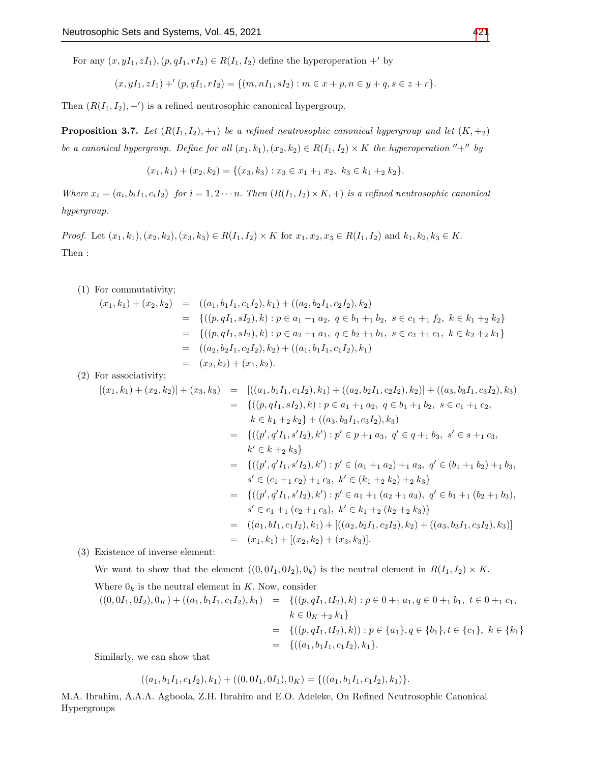For any  $(x, yI_1, zI_1), (p, qI_1, rI_2) \in R(I_1, I_2)$  define the hyperoperation  $+$ ' by

$$
(x,yI_1, zI_1) + ' (p, qI_1, rI_2) = \{(m,nI_1,sI_2) : m \in x + p, n \in y + q, s \in z + r\}.
$$

Then  $(R(I_1, I_2), +')$  is a refined neutrosophic canonical hypergroup.

<span id="page-7-0"></span>**Proposition 3.7.** Let  $(R(I_1, I_2), +_1)$  be a refined neutrosophic canonical hypergroup and let  $(K, +_2)$ be a canonical hypergroup. Define for all  $(x_1, k_1), (x_2, k_2) \in R(I_1, I_2) \times K$  the hyperoperation "+" by

$$
(x_1,k_1)+(x_2,k_2)=\{(x_3,k_3):x_3\in x_1+_{1}x_2,\ k_3\in k_1+_{2}k_2\}.
$$

Where  $x_i = (a_i, b_i I_1, c_i I_2)$  for  $i = 1, 2 \cdots n$ . Then  $(R(I_1, I_2) \times K, +)$  is a refined neutrosophic canonical hypergroup.

*Proof.* Let  $(x_1, k_1), (x_2, k_2), (x_3, k_3) \in R(I_1, I_2) \times K$  for  $x_1, x_2, x_3 \in R(I_1, I_2)$  and  $k_1, k_2, k_3 \in K$ . Then :

(1) For commutativity;

$$
(x_1, k_1) + (x_2, k_2) = ((a_1, b_1I_1, c_1I_2), k_1) + ((a_2, b_2I_1, c_2I_2), k_2)
$$
  
\n
$$
= \{((p, qI_1, sI_2), k) : p \in a_1 +_1 a_2, q \in b_1 +_1 b_2, s \in c_1 +_1 f_2, k \in k_1 +_2 k_2\}
$$
  
\n
$$
= \{((p, qI_1, sI_2), k) : p \in a_2 +_1 a_1, q \in b_2 +_1 b_1, s \in c_2 +_1 c_1, k \in k_2 +_2 k_1\}
$$
  
\n
$$
= ((a_2, b_2I_1, c_2I_2), k_2) + ((a_1, b_1I_1, c_1I_2), k_1)
$$
  
\n
$$
= (x_2, k_2) + (x_1, k_2).
$$

(2) For associativity;

$$
[(x_1, k_1) + (x_2, k_2)] + (x_3, k_3) = [((a_1, b_1I_1, c_1I_2), k_1) + ((a_2, b_2I_1, c_2I_2), k_2)] + ((a_3, b_3I_1, c_3I_2), k_3)
$$
  
\n
$$
= \{((p, qI_1, sI_2), k) : p \in a_1 +_1 a_2, q \in b_1 +_1 b_2, s \in c_1 +_1 c_2,
$$
  
\n
$$
k \in k_1 +_2 k_2\} + ((a_3, b_3I_1, c_3I_2), k_3)
$$
  
\n
$$
= \{((p', q'I_1, s'I_2), k') : p' \in p +_1 a_3, q' \in q +_1 b_3, s' \in s +_1 c_3,
$$
  
\n
$$
k' \in k +_2 k_3\}
$$
  
\n
$$
= \{((p', q'I_1, s'I_2), k') : p' \in (a_1 +_1 a_2) +_1 a_3, q' \in (b_1 +_1 b_2) +_1 b_3,
$$
  
\n
$$
s' \in (c_1 +_1 c_2) +_1 c_3, k' \in (k_1 +_2 k_2) +_2 k_3\}
$$
  
\n
$$
= \{((p', q'I_1, s'I_2), k') : p' \in a_1 +_1 (a_2 +_1 a_3), q' \in b_1 +_1 (b_2 +_1 b_3),
$$
  
\n
$$
s' \in c_1 +_1 (c_2 +_1 c_3), k' \in k_1 +_2 (k_2 +_2 k_3)\}
$$
  
\n
$$
= ((a_1, bI_1, c_1I_2), k_1) + [((a_2, b_2I_1, c_2I_2), k_2) + ((a_3, b_3I_1, c_3I_2), k_3)]
$$
  
\n
$$
= (x_1, k_1) + [(x_2, k_2) + (x_3, k_3)].
$$

(3) Existence of inverse element:

We want to show that the element  $((0, 0I_1, 0I_2), 0_k)$  is the neutral element in  $R(I_1, I_2) \times K$ .

Where  $0_k$  is the neutral element in K. Now, consider

$$
((0,0I_1,0I_2),0_K) + ((a_1,b_1I_1,c_1I_2),k_1) = \{((p,qI_1,tI_2),k) : p \in 0 +_1 a_1, q \in 0 +_1 b_1, t \in 0 +_1 c_1,k \in 0K +_2 k_1\}= \{((p,qI_1,tI_2),k)) : p \in \{a_1\}, q \in \{b_1\}, t \in \{c_1\}, k \in \{k_1\}= \{((a_1,b_1I_1,c_1I_2),k_1\}.
$$

Similarly, we can show that

$$
((a_1, b_1I_1, c_1I_2), k_1) + ((0, 0I_1, 0I_1), 0_K) = \{((a_1, b_1I_1, c_1I_2), k_1)\}.
$$

M.A. Ibrahim, A.A.A. Agboola, Z.H. Ibrahim and E.O. Adeleke, On Refined Neutrosophic Canonical Hypergroups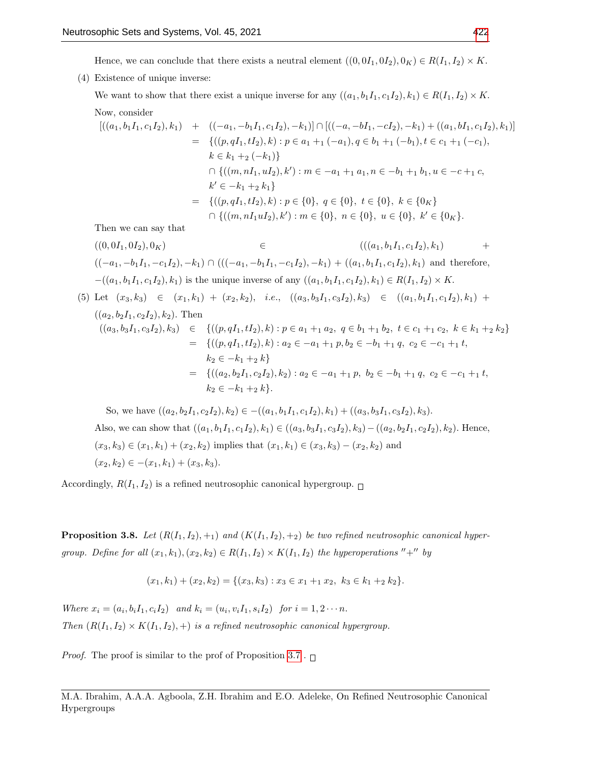Hence, we can conclude that there exists a neutral element  $((0,0I_1,0I_2),0_K) \in R(I_1,I_2) \times K$ .

(4) Existence of unique inverse:

We want to show that there exist a unique inverse for any  $((a_1, b_1I_1, c_1I_2), k_1) \in R(I_1, I_2) \times K$ .

Now, consider  
\n
$$
[( (a_1, b_1I_1, c_1I_2), k_1 ) + ((-a_1, -b_1I_1, c_1I_2), -k_1)] \cap [((-a, -bI_1, -cI_2), -k_1) + ((a_1, bI_1, c_1I_2), k_1)]
$$
\n
$$
= \{((p, qI_1, tI_2), k) : p \in a_1 + (a_1), q \in b_1 + (b_1), t \in c_1 + (c_1),
$$
\n
$$
k \in k_1 + 2(-k_1) \}
$$
\n
$$
\cap \{((m, nI_1, uI_2), k') : m \in -a_1 + (a_1, n \in -b_1) + (b_1, u \in -c + (a_1, bI_1, uI_2)) \}
$$
\n
$$
= \{((p, qI_1, tI_2), k) : p \in \{0\}, q \in \{0\}, t \in \{0\}, k \in \{0_K\}
$$
\n
$$
\cap \{((m, nI_1uI_2), k') : m \in \{0\}, n \in \{0\}, u \in \{0\}, k' \in \{0_K\}.
$$

Then we can say that

$$
((0,0I_1,0I_2),0_K) \in (((a_1,b_1I_1,c_1I_2),k_1) +((-a_1,-b_1I_1,-c_1I_2),-k_1) \cap (((-a_1,-b_1I_1,-c_1I_2),-k_1) + ((a_1,b_1I_1,c_1I_2),k_1)
$$
 and therefore,  

$$
-((a_1,b_1I_1,c_1I_2),k_1)
$$
 is the unique inverse of any  $((a_1,b_1I_1,c_1I_2),k_1) \in R(I_1,I_2) \times K$ .

(5) Let 
$$
(x_3, k_3) \in (x_1, k_1) + (x_2, k_2)
$$
, *i.e.*,  $((a_3, b_3I_1, c_3I_2), k_3) \in ((a_1, b_1I_1, c_1I_2), k_1) +$   
\n $((a_2, b_2I_1, c_2I_2), k_2)$ . Then  
\n $((a_3, b_3I_1, c_3I_2), k_3) \in \{((p, qI_1, tI_2), k) : p \in a_1 + a_2, q \in b_1 + b_2, t \in c_1 + a_2, k \in k_1 + a_2k_2\}$   
\n $= \{((p, qI_1, tI_2), k) : a_2 \in -a_1 + a_1, b_2 \in -b_1 + a_2, c_2 \in -c_1 + a_1, k_2 \in -k_1 + a_2, k_3 \}$   
\n $= \{((a_2, b_2I_1, c_2I_2), k_2) : a_2 \in -a_1 + a_1, b_2 \in -b_1 + a_2, c_2 \in -c_1 + a_1, k_2 \in -k_1 + a_2, k_3 \}$ 

So, we have  $((a_2, b_2I_1, c_2I_2), k_2) \in -((a_1, b_1I_1, c_1I_2), k_1) + ((a_3, b_3I_1, c_3I_2), k_3).$ Also, we can show that  $((a_1, b_1I_1, c_1I_2), k_1) \in ((a_3, b_3I_1, c_3I_2), k_3) - ((a_2, b_2I_1, c_2I_2), k_2)$ . Hence,  $(x_3, k_3) \in (x_1, k_1) + (x_2, k_2)$  implies that  $(x_1, k_1) \in (x_3, k_3) - (x_2, k_2)$  and  $(x_2, k_2) \in -(x_1, k_1) + (x_3, k_3).$ 

Accordingly,  $R(I_1, I_2)$  is a refined neutrosophic canonical hypergroup.  $\Box$ 

**Proposition 3.8.** Let  $(R(I_1, I_2), +_1)$  and  $(K(I_1, I_2), +_2)$  be two refined neutrosophic canonical hypergroup. Define for all  $(x_1, k_1), (x_2, k_2) \in R(I_1, I_2) \times K(I_1, I_2)$  the hyperoperations "+" by

$$
(x_1,k_1)+(x_2,k_2)=\{(x_3,k_3):x_3\in x_1+_{1}x_2,\ k_3\in k_1+_{2}k_2\}.
$$

Where  $x_i = (a_i, b_i I_1, c_i I_2)$  and  $k_i = (u_i, v_i I_1, s_i I_2)$  for  $i = 1, 2 \cdots n$ . Then  $(R(I_1, I_2) \times K(I_1, I_2), +)$  is a refined neutrosophic canonical hypergroup.

*Proof.* The proof is similar to the prof of Proposition [3.7](#page-7-0).  $\Box$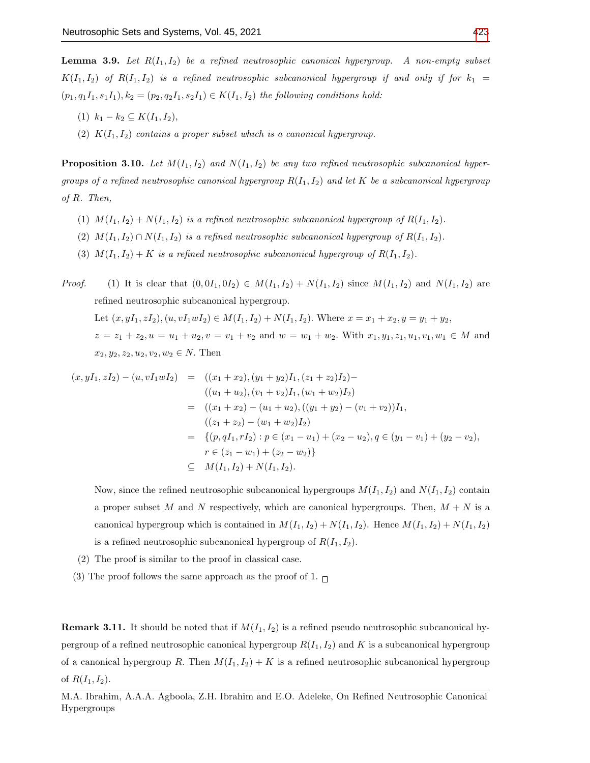**Lemma 3.9.** Let  $R(I_1, I_2)$  be a refined neutrosophic canonical hypergroup. A non-empty subset  $K(I_1, I_2)$  of  $R(I_1, I_2)$  is a refined neutrosophic subcanonical hypergroup if and only if for  $k_1 =$  $(p_1, q_1I_1, s_1I_1), k_2 = (p_2, q_2I_1, s_2I_1) \in K(I_1, I_2)$  the following conditions hold:

- (1)  $k_1 k_2 \subseteq K(I_1, I_2),$
- (2)  $K(I_1, I_2)$  contains a proper subset which is a canonical hypergroup.

**Proposition 3.10.** Let  $M(I_1, I_2)$  and  $N(I_1, I_2)$  be any two refined neutrosophic subcanonical hypergroups of a refined neutrosophic canonical hypergroup  $R(I_1, I_2)$  and let K be a subcanonical hypergroup of R. Then,

- (1)  $M(I_1, I_2) + N(I_1, I_2)$  is a refined neutrosophic subcanonical hypergroup of  $R(I_1, I_2)$ .
- (2)  $M(I_1, I_2) \cap N(I_1, I_2)$  is a refined neutrosophic subcanonical hypergroup of  $R(I_1, I_2)$ .
- (3)  $M(I_1, I_2) + K$  is a refined neutrosophic subcanonical hypergroup of  $R(I_1, I_2)$ .

*Proof.* (1) It is clear that  $(0, 0I_1, 0I_2) \in M(I_1, I_2) + N(I_1, I_2)$  since  $M(I_1, I_2)$  and  $N(I_1, I_2)$  are refined neutrosophic subcanonical hypergroup. Let  $(x, yI_1, zI_2), (u, vI_1wI_2) \in M(I_1, I_2) + N(I_1, I_2)$ . Where  $x = x_1 + x_2, y = y_1 + y_2$ ,  $z = z_1 + z_2, u = u_1 + u_2, v = v_1 + v_2$  and  $w = w_1 + w_2$ . With  $x_1, y_1, z_1, u_1, v_1, w_1 \in M$  and  $x_2, y_2, z_2, u_2, v_2, w_2 \in N$ . Then

$$
(x, yI_1, zI_2) - (u, vI_1wI_2) = ((x_1 + x_2), (y_1 + y_2)I_1, (z_1 + z_2)I_2) -
$$
  
\n
$$
((u_1 + u_2), (v_1 + v_2)I_1, (w_1 + w_2)I_2)
$$
  
\n
$$
= ((x_1 + x_2) - (u_1 + u_2), ((y_1 + y_2) - (v_1 + v_2))I_1,
$$
  
\n
$$
((z_1 + z_2) - (w_1 + w_2)I_2)
$$
  
\n
$$
= \{(p, qI_1, rI_2) : p \in (x_1 - u_1) + (x_2 - u_2), q \in (y_1 - v_1) + (y_2 - v_2),
$$
  
\n
$$
r \in (z_1 - w_1) + (z_2 - w_2)\}
$$
  
\n
$$
\subseteq M(I_1, I_2) + N(I_1, I_2).
$$

Now, since the refined neutrosophic subcanonical hypergroups  $M(I_1, I_2)$  and  $N(I_1, I_2)$  contain a proper subset M and N respectively, which are canonical hypergroups. Then,  $M + N$  is a canonical hypergroup which is contained in  $M(I_1, I_2) + N(I_1, I_2)$ . Hence  $M(I_1, I_2) + N(I_1, I_2)$ is a refined neutrosophic subcanonical hypergroup of  $R(I_1, I_2)$ .

- (2) The proof is similar to the proof in classical case.
- (3) The proof follows the same approach as the proof of 1.  $\Box$

**Remark 3.11.** It should be noted that if  $M(I_1, I_2)$  is a refined pseudo neutrosophic subcanonical hypergroup of a refined neutrosophic canonical hypergroup  $R(I_1, I_2)$  and K is a subcanonical hypergroup of a canonical hypergroup R. Then  $M(I_1, I_2) + K$  is a refined neutrosophic subcanonical hypergroup of  $R(I_1, I_2)$ .

M.A. Ibrahim, A.A.A. Agboola, Z.H. Ibrahim and E.O. Adeleke, On Refined Neutrosophic Canonical Hypergroups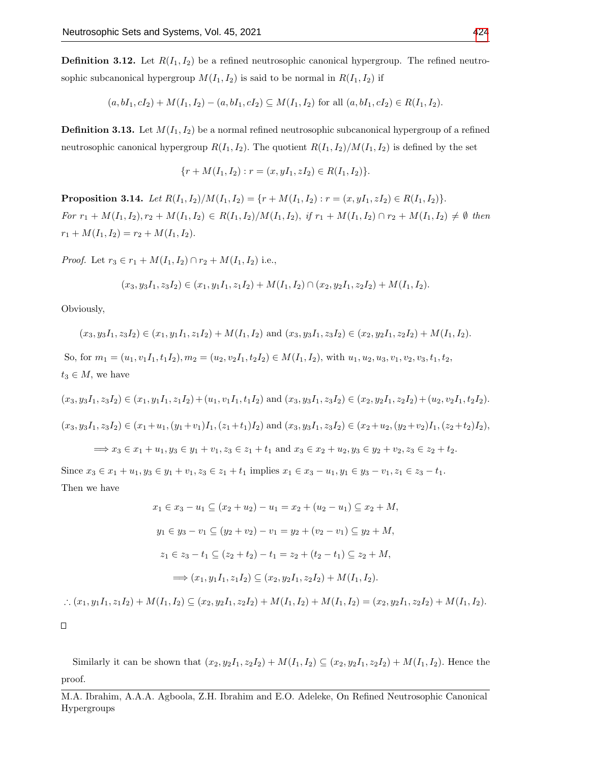**Definition 3.12.** Let  $R(I_1, I_2)$  be a refined neutrosophic canonical hypergroup. The refined neutrosophic subcanonical hypergroup  $M(I_1, I_2)$  is said to be normal in  $R(I_1, I_2)$  if

$$
(a, bI_1, cI_2) + M(I_1, I_2) - (a, bI_1, cI_2) \subseteq M(I_1, I_2)
$$
 for all  $(a, bI_1, cI_2) \in R(I_1, I_2)$ .

**Definition 3.13.** Let  $M(I_1, I_2)$  be a normal refined neutrosophic subcanonical hypergroup of a refined neutrosophic canonical hypergroup  $R(I_1, I_2)$ . The quotient  $R(I_1, I_2)/M(I_1, I_2)$  is defined by the set

$$
\{r + M(I_1, I_2) : r = (x, yI_1, zI_2) \in R(I_1, I_2)\}.
$$

<span id="page-10-0"></span>**Proposition 3.14.** Let  $R(I_1, I_2)/M(I_1, I_2) = \{r + M(I_1, I_2) : r = (x, yI_1, zI_2) \in R(I_1, I_2)\}.$ For  $r_1 + M(I_1, I_2), r_2 + M(I_1, I_2) \in R(I_1, I_2)/M(I_1, I_2), \text{ if } r_1 + M(I_1, I_2) \cap r_2 + M(I_1, I_2) \neq \emptyset \text{ then}$  $r_1 + M(I_1, I_2) = r_2 + M(I_1, I_2).$ 

*Proof.* Let  $r_3 \in r_1 + M(I_1, I_2) \cap r_2 + M(I_1, I_2)$  i.e.,

$$
(x_3, y_3I_1, z_3I_2) \in (x_1, y_1I_1, z_1I_2) + M(I_1, I_2) \cap (x_2, y_2I_1, z_2I_2) + M(I_1, I_2).
$$

Obviously,

$$
(x_3, y_3I_1, z_3I_2) \in (x_1, y_1I_1, z_1I_2) + M(I_1, I_2) \text{ and } (x_3, y_3I_1, z_3I_2) \in (x_2, y_2I_1, z_2I_2) + M(I_1, I_2).
$$

So, for  $m_1 = (u_1, v_1I_1, t_1I_2), m_2 = (u_2, v_2I_1, t_2I_2) \in M(I_1, I_2)$ , with  $u_1, u_2, u_3, v_1, v_2, v_3, t_1, t_2$ ,  $t_3 \in M$ , we have

$$
(x_3, y_3I_1, z_3I_2) \in (x_1, y_1I_1, z_1I_2) + (u_1, v_1I_1, t_1I_2) \text{ and } (x_3, y_3I_1, z_3I_2) \in (x_2, y_2I_1, z_2I_2) + (u_2, v_2I_1, t_2I_2).
$$
  
\n
$$
(x_3, y_3I_1, z_3I_2) \in (x_1 + u_1, (y_1 + v_1)I_1, (z_1 + t_1)I_2) \text{ and } (x_3, y_3I_1, z_3I_2) \in (x_2 + u_2, (y_2 + v_2)I_1, (z_2 + t_2)I_2),
$$
  
\n
$$
\implies x_3 \in x_1 + u_1, y_3 \in y_1 + v_1, z_3 \in z_1 + t_1 \text{ and } x_3 \in x_2 + u_2, y_3 \in y_2 + v_2, z_3 \in z_2 + t_2.
$$

Since  $x_3 \in x_1 + u_1, y_3 \in y_1 + v_1, z_3 \in z_1 + t_1$  implies  $x_1 \in x_3 - u_1, y_1 \in y_3 - v_1, z_1 \in z_3 - t_1$ . Then we have

$$
x_1 \in x_3 - u_1 \subseteq (x_2 + u_2) - u_1 = x_2 + (u_2 - u_1) \subseteq x_2 + M,
$$
  
\n
$$
y_1 \in y_3 - v_1 \subseteq (y_2 + v_2) - v_1 = y_2 + (v_2 - v_1) \subseteq y_2 + M,
$$
  
\n
$$
z_1 \in z_3 - t_1 \subseteq (z_2 + t_2) - t_1 = z_2 + (t_2 - t_1) \subseteq z_2 + M,
$$
  
\n
$$
\implies (x_1, y_1I_1, z_1I_2) \subseteq (x_2, y_2I_1, z_2I_2) + M(I_1, I_2).
$$
  
\n
$$
\therefore (x_1, y_1I_1, z_1I_2) + M(I_1, I_2) \subseteq (x_2, y_2I_1, z_2I_2) + M(I_1, I_2) + M(I_1, I_2) = (x_2, y_2I_1, z_2I_2) + M(I_1, I_2).
$$

 $\Box$ 

Similarly it can be shown that  $(x_2, y_2I_1, z_2I_2) + M(I_1, I_2) \subseteq (x_2, y_2I_1, z_2I_2) + M(I_1, I_2)$ . Hence the proof.

M.A. Ibrahim, A.A.A. Agboola, Z.H. Ibrahim and E.O. Adeleke, On Refined Neutrosophic Canonical Hypergroups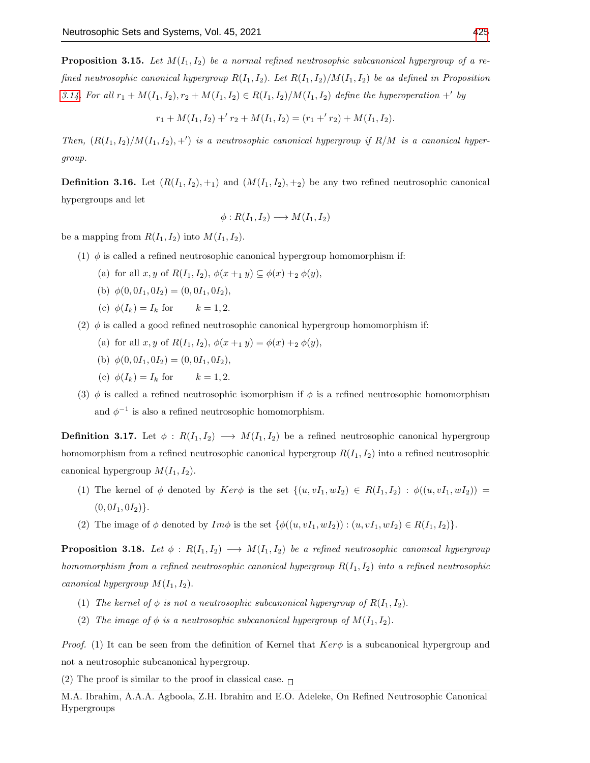**Proposition 3.15.** Let  $M(I_1, I_2)$  be a normal refined neutrosophic subcanonical hypergroup of a refined neutrosophic canonical hypergroup  $R(I_1, I_2)$ . Let  $R(I_1, I_2)/M(I_1, I_2)$  be as defined in Proposition [3.14.](#page-10-0) For all  $r_1 + M(I_1, I_2), r_2 + M(I_1, I_2) \in R(I_1, I_2)/M(I_1, I_2)$  define the hyperoperation +' by

$$
r_1 + M(I_1, I_2) + r_2 + M(I_1, I_2) = (r_1 + r_2) + M(I_1, I_2).
$$

Then,  $(R(I_1, I_2)/M(I_1, I_2), +')$  is a neutrosophic canonical hypergroup if  $R/M$  is a canonical hypergroup.

**Definition 3.16.** Let  $(R(I_1, I_2), +_1)$  and  $(M(I_1, I_2), +_2)$  be any two refined neutrosophic canonical hypergroups and let

$$
\phi: R(I_1, I_2) \longrightarrow M(I_1, I_2)
$$

be a mapping from  $R(I_1, I_2)$  into  $M(I_1, I_2)$ .

- (1)  $\phi$  is called a refined neutrosophic canonical hypergroup homomorphism if:
	- (a) for all  $x, y$  of  $R(I_1, I_2), \phi(x +_1 y) \subseteq \phi(x) +_2 \phi(y)$ ,
	- (b)  $\phi(0, 0I_1, 0I_2) = (0, 0I_1, 0I_2),$
	- (c)  $\phi(I_k) = I_k$  for  $k = 1, 2$ .
- (2)  $\phi$  is called a good refined neutrosophic canonical hypergroup homomorphism if:
	- (a) for all  $x, y$  of  $R(I_1, I_2), \phi(x +_1 y) = \phi(x) +_2 \phi(y)$ ,
	- (b)  $\phi(0, 0I_1, 0I_2) = (0, 0I_1, 0I_2),$
	- (c)  $\phi(I_k) = I_k$  for  $k = 1, 2$ .
- (3)  $\phi$  is called a refined neutrosophic isomorphism if  $\phi$  is a refined neutrosophic homomorphism and  $\phi^{-1}$  is also a refined neutrosophic homomorphism.

**Definition 3.17.** Let  $\phi: R(I_1, I_2) \longrightarrow M(I_1, I_2)$  be a refined neutrosophic canonical hypergroup homomorphism from a refined neutrosophic canonical hypergroup  $R(I_1, I_2)$  into a refined neutrosophic canonical hypergroup  $M(I_1, I_2)$ .

- (1) The kernel of  $\phi$  denoted by  $Ker\phi$  is the set  $\{(u, vI_1, wI_2) \in R(I_1, I_2) : \phi((u, vI_1, wI_2)) =$  $(0, 0I_1, 0I_2)\}.$
- (2) The image of  $\phi$  denoted by  $Im\phi$  is the set  $\{\phi((u, vI_1, wI_2)) : (u, vI_1, wI_2) \in R(I_1, I_2)\}.$

<span id="page-11-0"></span>**Proposition 3.18.** Let  $\phi: R(I_1, I_2) \longrightarrow M(I_1, I_2)$  be a refined neutrosophic canonical hypergroup homomorphism from a refined neutrosophic canonical hypergroup  $R(I_1, I_2)$  into a refined neutrosophic canonical hypergroup  $M(I_1, I_2)$ .

- (1) The kernel of  $\phi$  is not a neutrosophic subcanonical hypergroup of  $R(I_1, I_2)$ .
- (2) The image of  $\phi$  is a neutrosophic subcanonical hypergroup of  $M(I_1, I_2)$ .

*Proof.* (1) It can be seen from the definition of Kernel that  $Ker\phi$  is a subcanonical hypergroup and not a neutrosophic subcanonical hypergroup.

(2) The proof is similar to the proof in classical case.  $\Box$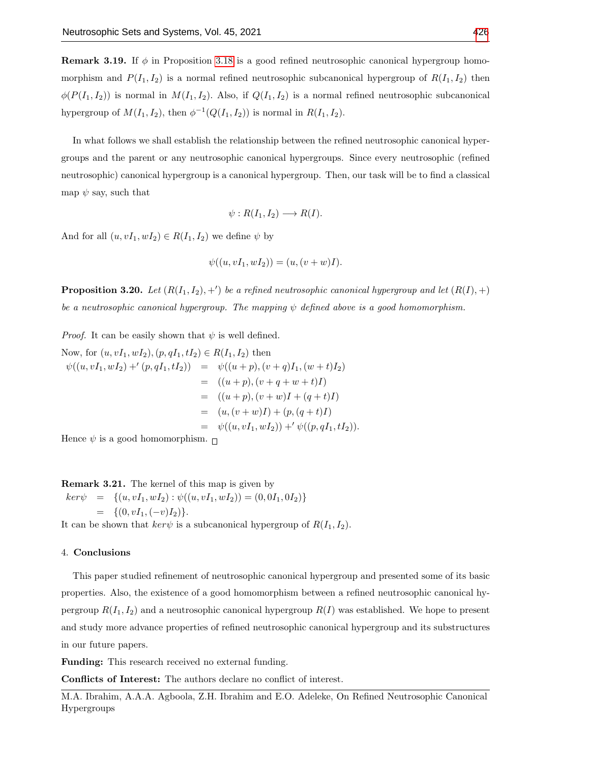**Remark 3.19.** If  $\phi$  in Proposition [3.18](#page-11-0) is a good refined neutrosophic canonical hypergroup homomorphism and  $P(I_1, I_2)$  is a normal refined neutrosophic subcanonical hypergroup of  $R(I_1, I_2)$  then  $\phi(P(I_1, I_2))$  is normal in  $M(I_1, I_2)$ . Also, if  $Q(I_1, I_2)$  is a normal refined neutrosophic subcanonical hypergroup of  $M(I_1, I_2)$ , then  $\phi^{-1}(Q(I_1, I_2))$  is normal in  $R(I_1, I_2)$ .

In what follows we shall establish the relationship between the refined neutrosophic canonical hypergroups and the parent or any neutrosophic canonical hypergroups. Since every neutrosophic (refined neutrosophic) canonical hypergroup is a canonical hypergroup. Then, our task will be to find a classical map  $\psi$  say, such that

$$
\psi: R(I_1, I_2) \longrightarrow R(I).
$$

And for all  $(u, vI_1, wI_2) \in R(I_1, I_2)$  we define  $\psi$  by

$$
\psi((u, vI_1, wI_2)) = (u, (v+w)I).
$$

**Proposition 3.20.** Let  $(R(I_1, I_2), +')$  be a refined neutrosophic canonical hypergroup and let  $(R(I), +)$ be a neutrosophic canonical hypergroup. The mapping  $\psi$  defined above is a good homomorphism.

*Proof.* It can be easily shown that  $\psi$  is well defined.

Now, for 
$$
(u, vI_1, wI_2), (p, qI_1, tI_2) \in R(I_1, I_2)
$$
 then  
\n
$$
\psi((u, vI_1, wI_2) + (p, qI_1, tI_2)) = \psi((u+p), (v+q)I_1, (w+t)I_2)
$$
\n
$$
= ((u+p), (v+q+w+t)I)
$$
\n
$$
= ((u+p), (v+w)I + (q+t)I)
$$
\n
$$
= (u, (v+w)I) + (p, (q+t)I)
$$
\n
$$
= \psi((u, vI_1, wI_2)) +' \psi((p, qI_1, tI_2)).
$$

Hence  $\psi$  is a good homomorphism.  $\Box$ 

Remark 3.21. The kernel of this map is given by  $\; \; ker\psi \; = \; \{ (u, vI_1, wI_2) : \psi((u, vI_1, wI_2)) = (0, 0I_1, 0I_2) \}$  $= \{(0, vI_1, (-v)I_2)\}.$ It can be shown that  $ker \psi$  is a subcanonical hypergroup of  $R(I_1, I_2)$ .

### 4. Conclusions

This paper studied refinement of neutrosophic canonical hypergroup and presented some of its basic properties. Also, the existence of a good homomorphism between a refined neutrosophic canonical hypergroup  $R(I_1, I_2)$  and a neutrosophic canonical hypergroup  $R(I)$  was established. We hope to present and study more advance properties of refined neutrosophic canonical hypergroup and its substructures in our future papers.

Funding: This research received no external funding.

Conflicts of Interest: The authors declare no conflict of interest.